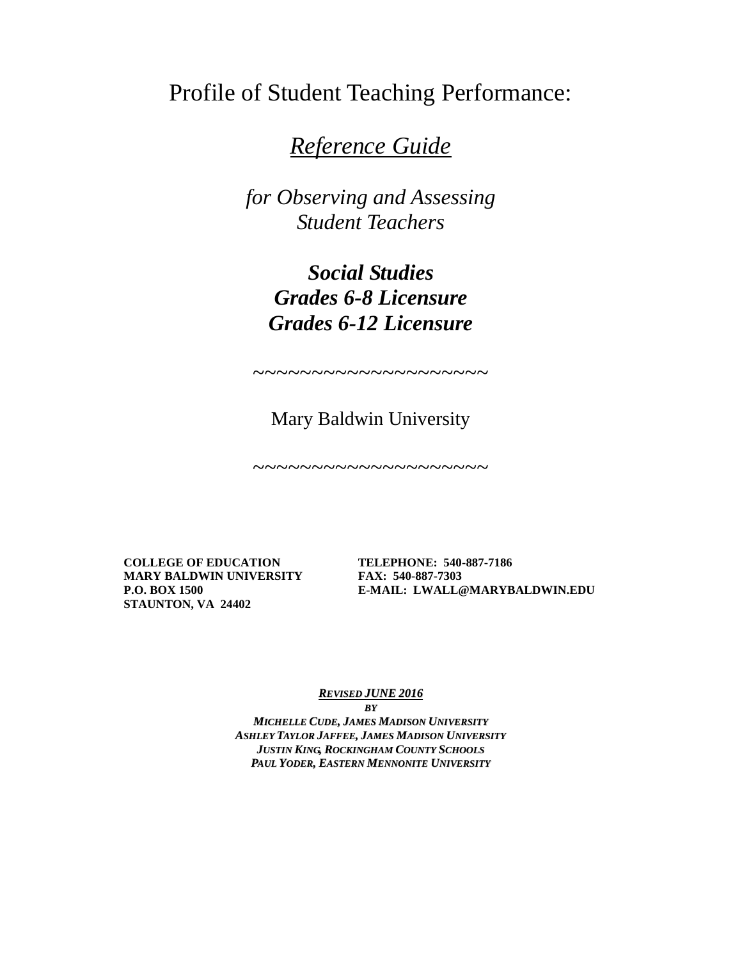Profile of Student Teaching Performance:

# *Reference Guide*

*for Observing and Assessing Student Teachers*

> *Social Studies Grades 6-8 Licensure Grades 6-12 Licensure*

> Mary Baldwin University

~~~~~~~~~~~~~~~~~~~~

~~~~~~~~~~~~~~~~~~~~

**MARY BALDWIN UNIVERSITY FAX: 540-887-7303 STAUNTON, VA 24402**

**COLLEGE OF EDUCATION TELEPHONE: 540-887-7186 P.O. BOX 1500 E-MAIL: LWALL@MARYBALDWIN.EDU**

*REVISED JUNE 2016*

*BY MICHELLE CUDE, JAMES MADISON UNIVERSITY ASHLEY TAYLOR JAFFEE, JAMES MADISON UNIVERSITY JUSTIN KING, ROCKINGHAM COUNTY SCHOOLS PAUL YODER, EASTERN MENNONITE UNIVERSITY*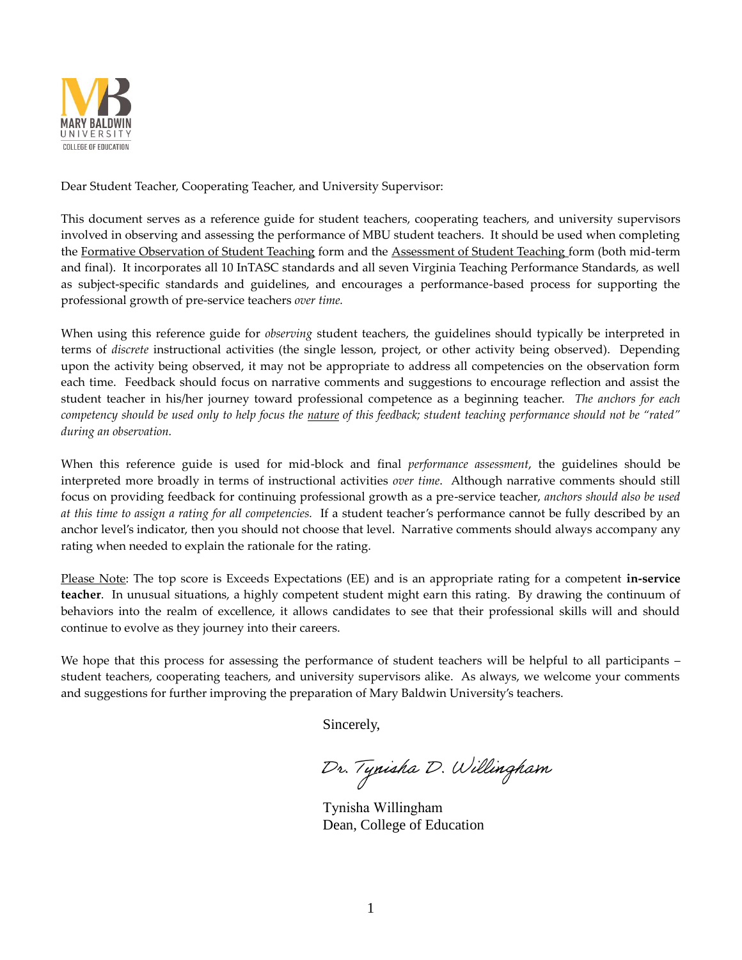

Dear Student Teacher, Cooperating Teacher, and University Supervisor:

This document serves as a reference guide for student teachers, cooperating teachers, and university supervisors involved in observing and assessing the performance of MBU student teachers. It should be used when completing the Formative Observation of Student Teaching form and the Assessment of Student Teaching form (both mid-term and final). It incorporates all 10 InTASC standards and all seven Virginia Teaching Performance Standards, as well as subject-specific standards and guidelines, and encourages a performance-based process for supporting the professional growth of pre-service teachers *over time.*

When using this reference guide for *observing* student teachers, the guidelines should typically be interpreted in terms of *discrete* instructional activities (the single lesson, project, or other activity being observed). Depending upon the activity being observed, it may not be appropriate to address all competencies on the observation form each time. Feedback should focus on narrative comments and suggestions to encourage reflection and assist the student teacher in his/her journey toward professional competence as a beginning teacher. *The anchors for each competency should be used only to help focus the nature of this feedback; student teaching performance should not be "rated" during an observation.* 

When this reference guide is used for mid-block and final *performance assessment*, the guidelines should be interpreted more broadly in terms of instructional activities *over time*. Although narrative comments should still focus on providing feedback for continuing professional growth as a pre-service teacher, *anchors should also be used at this time to assign a rating for all competencies.* If a student teacher's performance cannot be fully described by an anchor level's indicator, then you should not choose that level. Narrative comments should always accompany any rating when needed to explain the rationale for the rating.

Please Note: The top score is Exceeds Expectations (EE) and is an appropriate rating for a competent **in-service teacher**. In unusual situations, a highly competent student might earn this rating. By drawing the continuum of behaviors into the realm of excellence, it allows candidates to see that their professional skills will and should continue to evolve as they journey into their careers.

We hope that this process for assessing the performance of student teachers will be helpful to all participants – student teachers, cooperating teachers, and university supervisors alike. As always, we welcome your comments and suggestions for further improving the preparation of Mary Baldwin University's teachers.

Sincerely,

Dr. Tynisha D. Willingham

Tynisha Willingham Dean, College of Education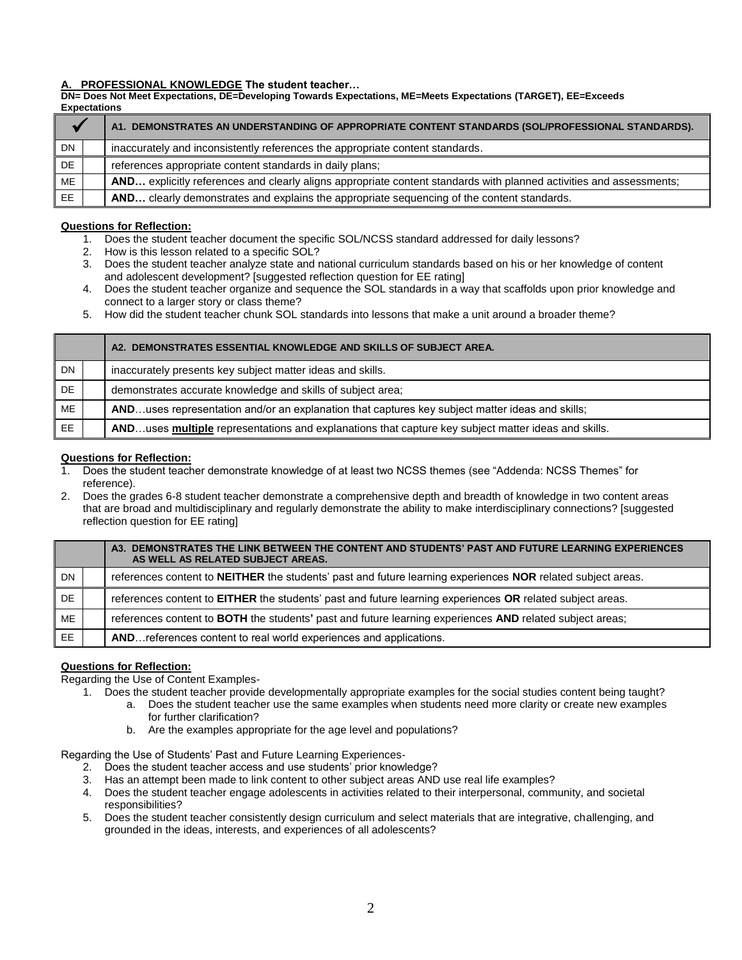#### **A. PROFESSIONAL KNOWLEDGE The student teacher…**

**DN= Does Not Meet Expectations, DE=Developing Towards Expectations, ME=Meets Expectations (TARGET), EE=Exceeds Expectations**

|           | A1. DEMONSTRATES AN UNDERSTANDING OF APPROPRIATE CONTENT STANDARDS (SOL/PROFESSIONAL STANDARDS).                    |
|-----------|---------------------------------------------------------------------------------------------------------------------|
| DN        | inaccurately and inconsistently references the appropriate content standards.                                       |
| <b>DE</b> | references appropriate content standards in daily plans;                                                            |
| ME        | AND explicitly references and clearly aligns appropriate content standards with planned activities and assessments; |
| EE.       | AND clearly demonstrates and explains the appropriate sequencing of the content standards.                          |

#### **Questions for Reflection:**

- 1. Does the student teacher document the specific SOL/NCSS standard addressed for daily lessons?
- 2. How is this lesson related to a specific SOL?
- 3. Does the student teacher analyze state and national curriculum standards based on his or her knowledge of content and adolescent development? [suggested reflection question for EE rating]
- 4. Does the student teacher organize and sequence the SOL standards in a way that scaffolds upon prior knowledge and connect to a larger story or class theme?
- 5. How did the student teacher chunk SOL standards into lessons that make a unit around a broader theme?

|           | A2. DEMONSTRATES ESSENTIAL KNOWLEDGE AND SKILLS OF SUBJECT AREA.                                    |
|-----------|-----------------------------------------------------------------------------------------------------|
| <b>DN</b> | inaccurately presents key subject matter ideas and skills.                                          |
| DE        | demonstrates accurate knowledge and skills of subject area;                                         |
| ME        | ANDuses representation and/or an explanation that captures key subject matter ideas and skills;     |
| EE        | ANDuses multiple representations and explanations that capture key subject matter ideas and skills. |

#### **Questions for Reflection:**

- 1. Does the student teacher demonstrate knowledge of at least two NCSS themes (see "Addenda: NCSS Themes" for reference).
- 2. Does the grades 6-8 student teacher demonstrate a comprehensive depth and breadth of knowledge in two content areas that are broad and multidisciplinary and regularly demonstrate the ability to make interdisciplinary connections? [suggested reflection question for EE rating]

|     | A3. DEMONSTRATES THE LINK BETWEEN THE CONTENT AND STUDENTS' PAST AND FUTURE LEARNING EXPERIENCES<br>AS WELL AS RELATED SUBJECT AREAS. |
|-----|---------------------------------------------------------------------------------------------------------------------------------------|
| DN  | references content to NEITHER the students' past and future learning experiences NOR related subject areas.                           |
| DE. | references content to <b>EITHER</b> the students' past and future learning experiences OR related subject areas.                      |
| ME  | references content to BOTH the students' past and future learning experiences AND related subject areas;                              |
| EE  | AND references content to real world experiences and applications.                                                                    |

### **Questions for Reflection:**

Regarding the Use of Content Examples-

- 1. Does the student teacher provide developmentally appropriate examples for the social studies content being taught?
	- a. Does the student teacher use the same examples when students need more clarity or create new examples for further clarification?
	- b. Are the examples appropriate for the age level and populations?

Regarding the Use of Students' Past and Future Learning Experiences-

- 2. Does the student teacher access and use students' prior knowledge?
- 3. Has an attempt been made to link content to other subject areas AND use real life examples?
- 4. Does the student teacher engage adolescents in activities related to their interpersonal, community, and societal responsibilities?
- 5. Does the student teacher consistently design curriculum and select materials that are integrative, challenging, and grounded in the ideas, interests, and experiences of all adolescents?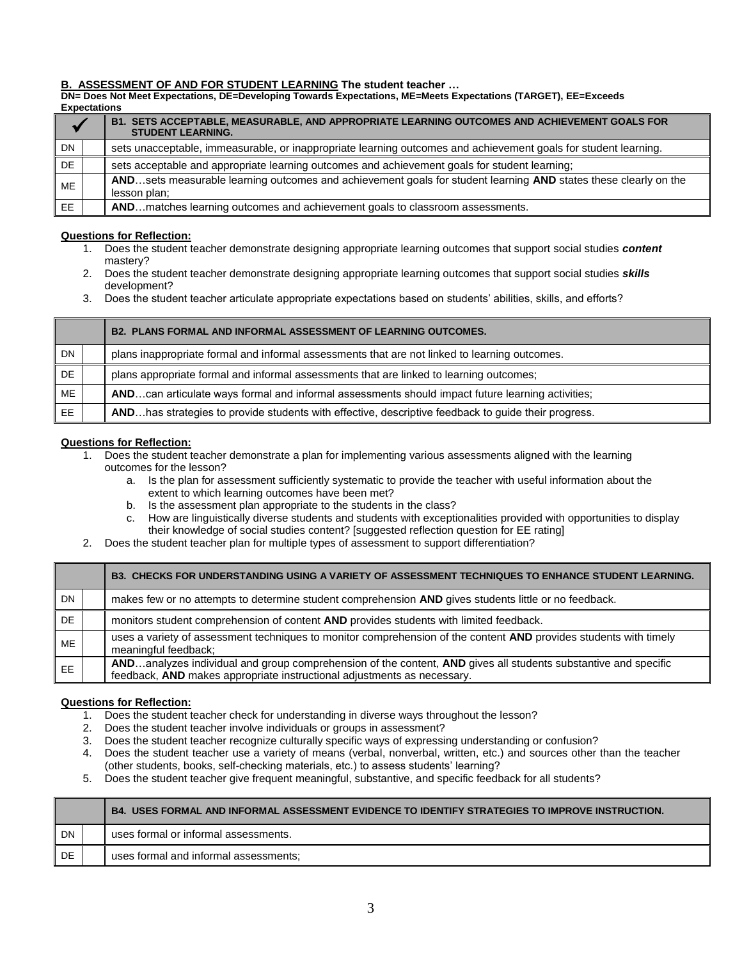#### **B. ASSESSMENT OF AND FOR STUDENT LEARNING The student teacher …**

**DN= Does Not Meet Expectations, DE=Developing Towards Expectations, ME=Meets Expectations (TARGET), EE=Exceeds Expectations**

|           | B1. SETS ACCEPTABLE, MEASURABLE, AND APPROPRIATE LEARNING OUTCOMES AND ACHIEVEMENT GOALS FOR<br><b>STUDENT LEARNING.</b>        |
|-----------|---------------------------------------------------------------------------------------------------------------------------------|
| <b>DN</b> | sets unacceptable, immeasurable, or inappropriate learning outcomes and achievement goals for student learning.                 |
| <b>DE</b> | sets acceptable and appropriate learning outcomes and achievement goals for student learning;                                   |
| ME        | ANDsets measurable learning outcomes and achievement goals for student learning AND states these clearly on the<br>lesson plan; |
| EE.       | ANDmatches learning outcomes and achievement goals to classroom assessments.                                                    |

#### **Questions for Reflection:**

- 1. Does the student teacher demonstrate designing appropriate learning outcomes that support social studies *content* mastery?
- 2. Does the student teacher demonstrate designing appropriate learning outcomes that support social studies *skills*  development?
- 3. Does the student teacher articulate appropriate expectations based on students' abilities, skills, and efforts?

|     | <b>B2. PLANS FORMAL AND INFORMAL ASSESSMENT OF LEARNING OUTCOMES.</b>                               |
|-----|-----------------------------------------------------------------------------------------------------|
| DN  | plans inappropriate formal and informal assessments that are not linked to learning outcomes.       |
| DE. | plans appropriate formal and informal assessments that are linked to learning outcomes;             |
| ME  | ANDcan articulate ways formal and informal assessments should impact future learning activities;    |
| EE. | ANDhas strategies to provide students with effective, descriptive feedback to guide their progress. |

#### **Questions for Reflection:**

- 1. Does the student teacher demonstrate a plan for implementing various assessments aligned with the learning
	- outcomes for the lesson?
		- a. Is the plan for assessment sufficiently systematic to provide the teacher with useful information about the extent to which learning outcomes have been met?
		- b. Is the assessment plan appropriate to the students in the class?
		- c. How are linguistically diverse students and students with exceptionalities provided with opportunities to display their knowledge of social studies content? [suggested reflection question for EE rating]
- 2. Does the student teacher plan for multiple types of assessment to support differentiation?

|           | B3. CHECKS FOR UNDERSTANDING USING A VARIETY OF ASSESSMENT TECHNIQUES TO ENHANCE STUDENT LEARNING.                                                                                        |
|-----------|-------------------------------------------------------------------------------------------------------------------------------------------------------------------------------------------|
| <b>DN</b> | makes few or no attempts to determine student comprehension AND gives students little or no feedback.                                                                                     |
| DE        | monitors student comprehension of content AND provides students with limited feedback.                                                                                                    |
| ME        | uses a variety of assessment techniques to monitor comprehension of the content AND provides students with timely<br>meaningful feedback;                                                 |
| EE        | ANDanalyzes individual and group comprehension of the content, AND gives all students substantive and specific<br>feedback, AND makes appropriate instructional adjustments as necessary. |

- 1. Does the student teacher check for understanding in diverse ways throughout the lesson?
- 2. Does the student teacher involve individuals or groups in assessment?
- 3. Does the student teacher recognize culturally specific ways of expressing understanding or confusion?
- 4. Does the student teacher use a variety of means (verbal, nonverbal, written, etc.) and sources other than the teacher
- (other students, books, self-checking materials, etc.) to assess students' learning?
- 5. Does the student teacher give frequent meaningful, substantive, and specific feedback for all students?

|           | B4. USES FORMAL AND INFORMAL ASSESSMENT EVIDENCE TO IDENTIFY STRATEGIES TO IMPROVE INSTRUCTION. |
|-----------|-------------------------------------------------------------------------------------------------|
| <b>DN</b> | uses formal or informal assessments.                                                            |
| DE        | uses formal and informal assessments;                                                           |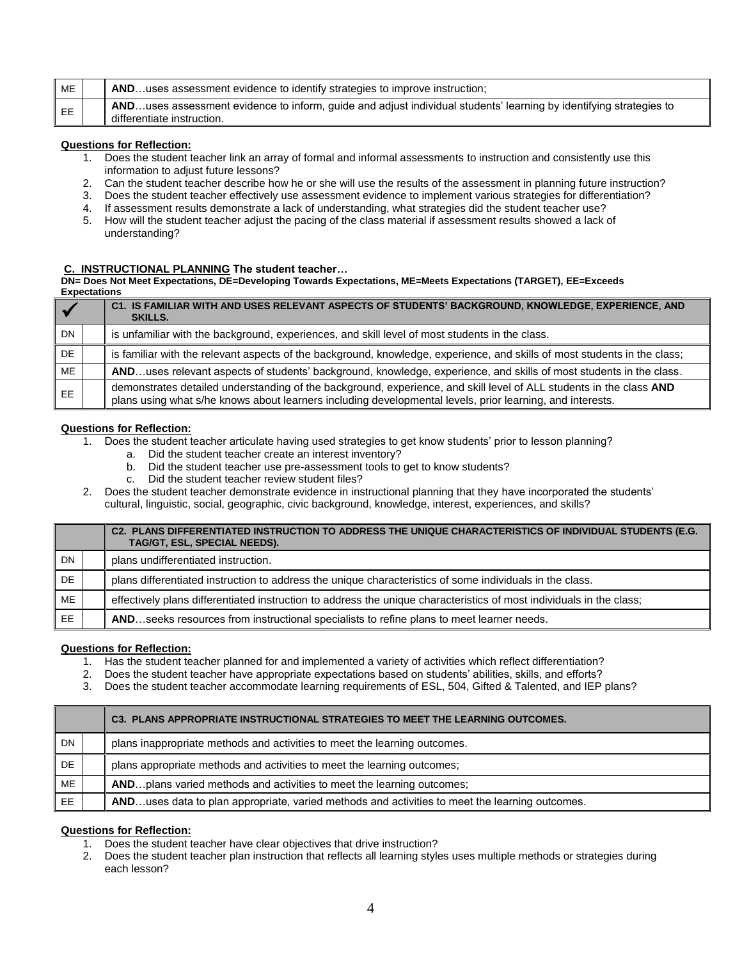| ME | ANDuses assessment evidence to identify strategies to improve instruction;                                                                       |
|----|--------------------------------------------------------------------------------------------------------------------------------------------------|
| EE | ANDuses assessment evidence to inform, guide and adjust individual students' learning by identifying strategies to<br>differentiate instruction. |

- 1. Does the student teacher link an array of formal and informal assessments to instruction and consistently use this information to adjust future lessons?
- 2. Can the student teacher describe how he or she will use the results of the assessment in planning future instruction?
- 3. Does the student teacher effectively use assessment evidence to implement various strategies for differentiation?
- 4. If assessment results demonstrate a lack of understanding, what strategies did the student teacher use?
- 5. How will the student teacher adjust the pacing of the class material if assessment results showed a lack of understanding?

#### **C. INSTRUCTIONAL PLANNING The student teacher…**

**DN= Does Not Meet Expectations, DE=Developing Towards Expectations, ME=Meets Expectations (TARGET), EE=Exceeds Expectations**

|           | C1. IS FAMILIAR WITH AND USES RELEVANT ASPECTS OF STUDENTS' BACKGROUND, KNOWLEDGE, EXPERIENCE, AND<br><b>SKILLS.</b>                                                                                                             |
|-----------|----------------------------------------------------------------------------------------------------------------------------------------------------------------------------------------------------------------------------------|
| <b>DN</b> | is unfamiliar with the background, experiences, and skill level of most students in the class.                                                                                                                                   |
| <b>DE</b> | is familiar with the relevant aspects of the background, knowledge, experience, and skills of most students in the class;                                                                                                        |
| ME        | ANDuses relevant aspects of students' background, knowledge, experience, and skills of most students in the class.                                                                                                               |
| EE.       | demonstrates detailed understanding of the background, experience, and skill level of ALL students in the class AND<br>plans using what s/he knows about learners including developmental levels, prior learning, and interests. |

#### **Questions for Reflection:**

- 1. Does the student teacher articulate having used strategies to get know students' prior to lesson planning?
	- a. Did the student teacher create an interest inventory?
	- b. Did the student teacher use pre-assessment tools to get to know students?
	- c. Did the student teacher review student files?
- 2. Does the student teacher demonstrate evidence in instructional planning that they have incorporated the students' cultural, linguistic, social, geographic, civic background, knowledge, interest, experiences, and skills?

|     | C2. PLANS DIFFERENTIATED INSTRUCTION TO ADDRESS THE UNIQUE CHARACTERISTICS OF INDIVIDUAL STUDENTS (E.G.<br>TAG/GT, ESL, SPECIAL NEEDS). |
|-----|-----------------------------------------------------------------------------------------------------------------------------------------|
| DN  | plans undifferentiated instruction.                                                                                                     |
| DE  | plans differentiated instruction to address the unique characteristics of some individuals in the class.                                |
| ME  | effectively plans differentiated instruction to address the unique characteristics of most individuals in the class;                    |
| EE. | ANDseeks resources from instructional specialists to refine plans to meet learner needs.                                                |

#### **Questions for Reflection:**

- 1. Has the student teacher planned for and implemented a variety of activities which reflect differentiation?
- 2. Does the student teacher have appropriate expectations based on students' abilities, skills, and efforts?
- 3. Does the student teacher accommodate learning requirements of ESL, 504, Gifted & Talented, and IEP plans?

|           | C3. PLANS APPROPRIATE INSTRUCTIONAL STRATEGIES TO MEET THE LEARNING OUTCOMES.                  |
|-----------|------------------------------------------------------------------------------------------------|
| <b>DN</b> | plans inappropriate methods and activities to meet the learning outcomes.                      |
| DE.       | plans appropriate methods and activities to meet the learning outcomes;                        |
| ME        | AND plans varied methods and activities to meet the learning outcomes;                         |
| EE.       | ANDuses data to plan appropriate, varied methods and activities to meet the learning outcomes. |

- 1. Does the student teacher have clear objectives that drive instruction?
- 2. Does the student teacher plan instruction that reflects all learning styles uses multiple methods or strategies during each lesson?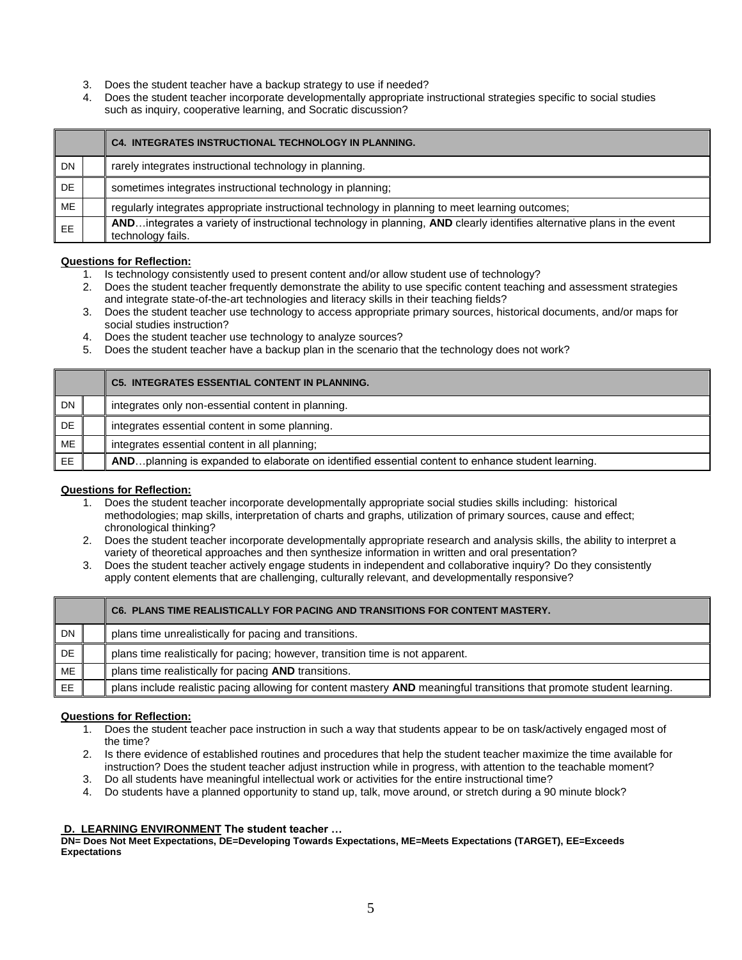- 3. Does the student teacher have a backup strategy to use if needed?
- 4. Does the student teacher incorporate developmentally appropriate instructional strategies specific to social studies such as inquiry, cooperative learning, and Socratic discussion?

|           | <b>C4. INTEGRATES INSTRUCTIONAL TECHNOLOGY IN PLANNING.</b>                                                                                 |
|-----------|---------------------------------------------------------------------------------------------------------------------------------------------|
| DN        | rarely integrates instructional technology in planning.                                                                                     |
| DE        | sometimes integrates instructional technology in planning;                                                                                  |
| <b>ME</b> | regularly integrates appropriate instructional technology in planning to meet learning outcomes;                                            |
| EE        | ANDintegrates a variety of instructional technology in planning, AND clearly identifies alternative plans in the event<br>technology fails. |

- 1. Is technology consistently used to present content and/or allow student use of technology?
- 2. Does the student teacher frequently demonstrate the ability to use specific content teaching and assessment strategies and integrate state-of-the-art technologies and literacy skills in their teaching fields?
- 3. Does the student teacher use technology to access appropriate primary sources, historical documents, and/or maps for social studies instruction?
- 4. Does the student teacher use technology to analyze sources?
- 5. Does the student teacher have a backup plan in the scenario that the technology does not work?

|           | <b>C5. INTEGRATES ESSENTIAL CONTENT IN PLANNING.</b>                                              |
|-----------|---------------------------------------------------------------------------------------------------|
| <b>DN</b> | integrates only non-essential content in planning.                                                |
| DE.       | integrates essential content in some planning.                                                    |
| <b>ME</b> | integrates essential content in all planning;                                                     |
| EE.       | ANDplanning is expanded to elaborate on identified essential content to enhance student learning. |

#### **Questions for Reflection:**

- 1. Does the student teacher incorporate developmentally appropriate social studies skills including: historical methodologies; map skills, interpretation of charts and graphs, utilization of primary sources, cause and effect; chronological thinking?
- 2. Does the student teacher incorporate developmentally appropriate research and analysis skills, the ability to interpret a variety of theoretical approaches and then synthesize information in written and oral presentation?
- 3. Does the student teacher actively engage students in independent and collaborative inquiry? Do they consistently apply content elements that are challenging, culturally relevant, and developmentally responsive?

|           | C6. PLANS TIME REALISTICALLY FOR PACING AND TRANSITIONS FOR CONTENT MASTERY.                                          |
|-----------|-----------------------------------------------------------------------------------------------------------------------|
| <b>DN</b> | plans time unrealistically for pacing and transitions.                                                                |
| DE        | plans time realistically for pacing; however, transition time is not apparent.                                        |
| ME        | plans time realistically for pacing AND transitions.                                                                  |
| <b>EE</b> | plans include realistic pacing allowing for content mastery AND meaningful transitions that promote student learning. |

#### **Questions for Reflection:**

- 1. Does the student teacher pace instruction in such a way that students appear to be on task/actively engaged most of the time?
- 2. Is there evidence of established routines and procedures that help the student teacher maximize the time available for instruction? Does the student teacher adjust instruction while in progress, with attention to the teachable moment?
- 3. Do all students have meaningful intellectual work or activities for the entire instructional time?
- 4. Do students have a planned opportunity to stand up, talk, move around, or stretch during a 90 minute block?

#### **D. LEARNING ENVIRONMENT The student teacher …**

**DN= Does Not Meet Expectations, DE=Developing Towards Expectations, ME=Meets Expectations (TARGET), EE=Exceeds Expectations**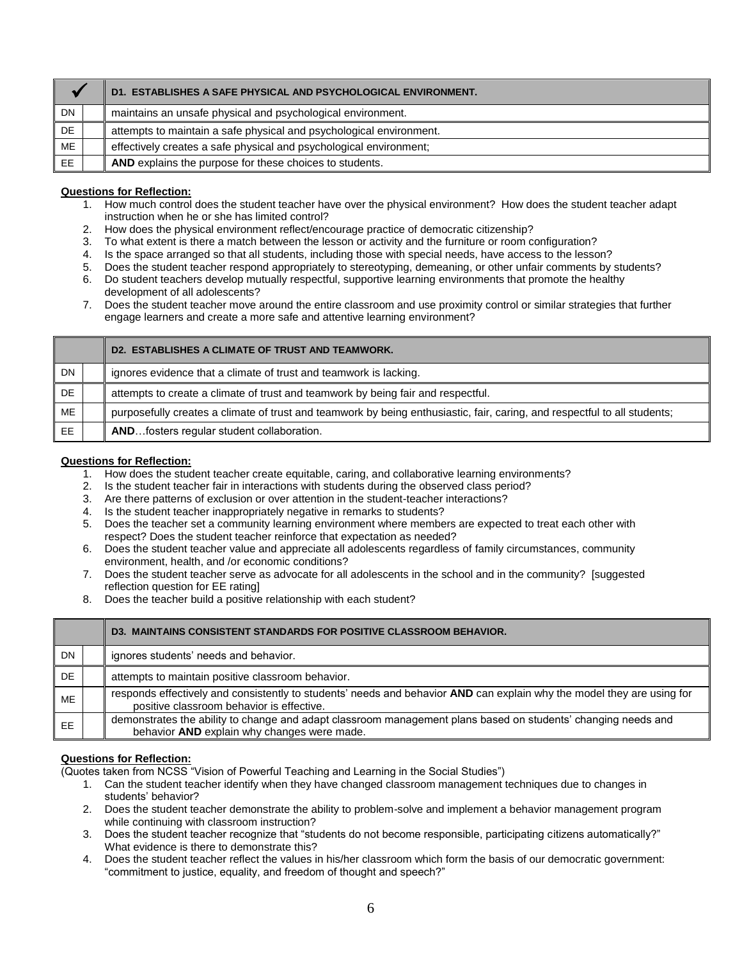|           | D1. ESTABLISHES A SAFE PHYSICAL AND PSYCHOLOGICAL ENVIRONMENT.      |
|-----------|---------------------------------------------------------------------|
| <b>DN</b> | maintains an unsafe physical and psychological environment.         |
| DE.       | attempts to maintain a safe physical and psychological environment. |
| ME        | effectively creates a safe physical and psychological environment;  |
| EE.       | AND explains the purpose for these choices to students.             |

- 1. How much control does the student teacher have over the physical environment? How does the student teacher adapt instruction when he or she has limited control?
- 2. How does the physical environment reflect/encourage practice of democratic citizenship?
- 3. To what extent is there a match between the lesson or activity and the furniture or room configuration?
- 4. Is the space arranged so that all students, including those with special needs, have access to the lesson?
- 5. Does the student teacher respond appropriately to stereotyping, demeaning, or other unfair comments by students?
- 6. Do student teachers develop mutually respectful, supportive learning environments that promote the healthy development of all adolescents?
- 7. Does the student teacher move around the entire classroom and use proximity control or similar strategies that further engage learners and create a more safe and attentive learning environment?

|     | D2. ESTABLISHES A CLIMATE OF TRUST AND TEAMWORK.                                                                          |
|-----|---------------------------------------------------------------------------------------------------------------------------|
| DN  | ignores evidence that a climate of trust and teamwork is lacking.                                                         |
| DE. | attempts to create a climate of trust and teamwork by being fair and respectful.                                          |
| ME  | purposefully creates a climate of trust and teamwork by being enthusiastic, fair, caring, and respectful to all students; |
| EE. | ANDfosters regular student collaboration.                                                                                 |

#### **Questions for Reflection:**

- 1. How does the student teacher create equitable, caring, and collaborative learning environments?
- 2. Is the student teacher fair in interactions with students during the observed class period?
- 3. Are there patterns of exclusion or over attention in the student-teacher interactions?
- 4. Is the student teacher inappropriately negative in remarks to students?
- 5. Does the teacher set a community learning environment where members are expected to treat each other with respect? Does the student teacher reinforce that expectation as needed?
- 6. Does the student teacher value and appreciate all adolescents regardless of family circumstances, community environment, health, and /or economic conditions?
- 7. Does the student teacher serve as advocate for all adolescents in the school and in the community? [suggested reflection question for EE rating]
- 8. Does the teacher build a positive relationship with each student?

|           | <b>D3. MAINTAINS CONSISTENT STANDARDS FOR POSITIVE CLASSROOM BEHAVIOR.</b>                                                                                          |
|-----------|---------------------------------------------------------------------------------------------------------------------------------------------------------------------|
| DN.       | ignores students' needs and behavior.                                                                                                                               |
| DE        | attempts to maintain positive classroom behavior.                                                                                                                   |
| <b>ME</b> | responds effectively and consistently to students' needs and behavior AND can explain why the model they are using for<br>positive classroom behavior is effective. |
| EE        | demonstrates the ability to change and adapt classroom management plans based on students' changing needs and<br>behavior AND explain why changes were made.        |

#### **Questions for Reflection:**

(Quotes taken from NCSS "Vision of Powerful Teaching and Learning in the Social Studies")

- 1. Can the student teacher identify when they have changed classroom management techniques due to changes in students' behavior?
- 2. Does the student teacher demonstrate the ability to problem-solve and implement a behavior management program while continuing with classroom instruction?
- 3. Does the student teacher recognize that "students do not become responsible, participating citizens automatically?" What evidence is there to demonstrate this?
- 4. Does the student teacher reflect the values in his/her classroom which form the basis of our democratic government: "commitment to justice, equality, and freedom of thought and speech?"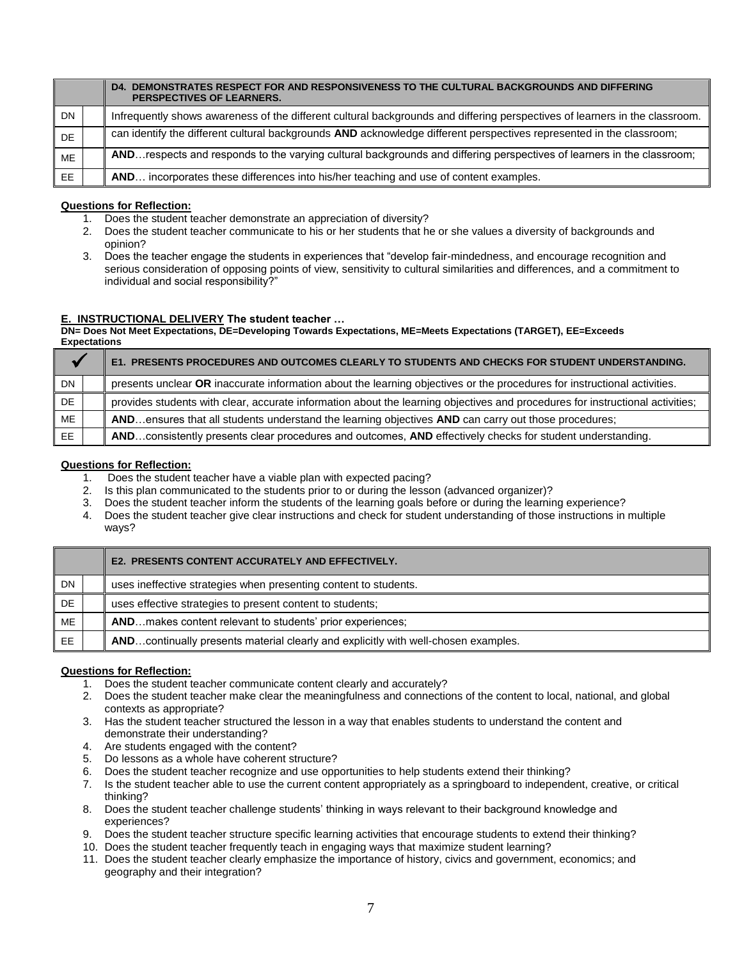|           | DEMONSTRATES RESPECT FOR AND RESPONSIVENESS TO THE CULTURAL BACKGROUNDS AND DIFFERING<br>D <sub>4</sub><br><b>PERSPECTIVES OF LEARNERS.</b> |
|-----------|---------------------------------------------------------------------------------------------------------------------------------------------|
| DN        | Infrequently shows awareness of the different cultural backgrounds and differing perspectives of learners in the classroom.                 |
| <b>DE</b> | can identify the different cultural backgrounds AND acknowledge different perspectives represented in the classroom;                        |
| ME        | ANDrespects and responds to the varying cultural backgrounds and differing perspectives of learners in the classroom;                       |
| EE.       | incorporates these differences into his/her teaching and use of content examples.<br>AND                                                    |

- 1. Does the student teacher demonstrate an appreciation of diversity?
- 2. Does the student teacher communicate to his or her students that he or she values a diversity of backgrounds and opinion?
- 3. Does the teacher engage the students in experiences that "develop fair-mindedness, and encourage recognition and serious consideration of opposing points of view, sensitivity to cultural similarities and differences, and a commitment to individual and social responsibility?"

#### **E. INSTRUCTIONAL DELIVERY The student teacher …**

#### **DN= Does Not Meet Expectations, DE=Developing Towards Expectations, ME=Meets Expectations (TARGET), EE=Exceeds Expectations**

|     | E1. PRESENTS PROCEDURES AND OUTCOMES CLEARLY TO STUDENTS AND CHECKS FOR STUDENT UNDERSTANDING.                                |
|-----|-------------------------------------------------------------------------------------------------------------------------------|
| DN. | presents unclear OR inaccurate information about the learning objectives or the procedures for instructional activities.      |
| DE. | provides students with clear, accurate information about the learning objectives and procedures for instructional activities; |
| ME  | ANDensures that all students understand the learning objectives AND can carry out those procedures;                           |
| EE. | ANDconsistently presents clear procedures and outcomes, AND effectively checks for student understanding.                     |

#### **Questions for Reflection:**

- 1. Does the student teacher have a viable plan with expected pacing?
- 2. Is this plan communicated to the students prior to or during the lesson (advanced organizer)?
- 3. Does the student teacher inform the students of the learning goals before or during the learning experience?
- 4. Does the student teacher give clear instructions and check for student understanding of those instructions in multiple ways?

|     | <b>E2. PRESENTS CONTENT ACCURATELY AND EFFECTIVELY.</b>                            |
|-----|------------------------------------------------------------------------------------|
| DN. | uses ineffective strategies when presenting content to students.                   |
| DE  | uses effective strategies to present content to students;                          |
| ME  | <b>AND</b> makes content relevant to students' prior experiences;                  |
| EE. | ANDcontinually presents material clearly and explicitly with well-chosen examples. |

- 1. Does the student teacher communicate content clearly and accurately?
- 2. Does the student teacher make clear the meaningfulness and connections of the content to local, national, and global contexts as appropriate?
- 3. Has the student teacher structured the lesson in a way that enables students to understand the content and demonstrate their understanding?
- 4. Are students engaged with the content?
- 5. Do lessons as a whole have coherent structure?
- 6. Does the student teacher recognize and use opportunities to help students extend their thinking?
- 7. Is the student teacher able to use the current content appropriately as a springboard to independent, creative, or critical thinking?
- 8. Does the student teacher challenge students' thinking in ways relevant to their background knowledge and experiences?
- 9. Does the student teacher structure specific learning activities that encourage students to extend their thinking?
- 10. Does the student teacher frequently teach in engaging ways that maximize student learning?
- 11. Does the student teacher clearly emphasize the importance of history, civics and government, economics; and geography and their integration?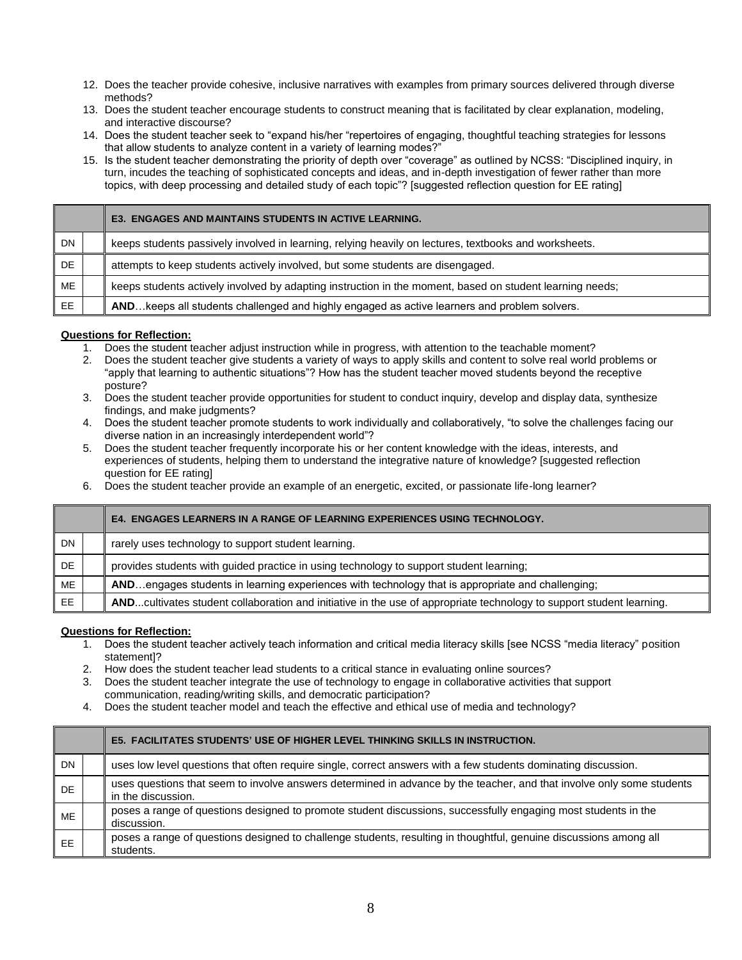- 12. Does the teacher provide cohesive, inclusive narratives with examples from primary sources delivered through diverse methods?
- 13. Does the student teacher encourage students to construct meaning that is facilitated by clear explanation, modeling, and interactive discourse?
- 14. Does the student teacher seek to "expand his/her "repertoires of engaging, thoughtful teaching strategies for lessons that allow students to analyze content in a variety of learning modes?"
- 15. Is the student teacher demonstrating the priority of depth over "coverage" as outlined by NCSS: "Disciplined inquiry, in turn, incudes the teaching of sophisticated concepts and ideas, and in-depth investigation of fewer rather than more topics, with deep processing and detailed study of each topic"? [suggested reflection question for EE rating]

|           | <b>E3. ENGAGES AND MAINTAINS STUDENTS IN ACTIVE LEARNING.</b>                                            |
|-----------|----------------------------------------------------------------------------------------------------------|
| <b>DN</b> | keeps students passively involved in learning, relying heavily on lectures, textbooks and worksheets.    |
| <b>DE</b> | attempts to keep students actively involved, but some students are disengaged.                           |
| ME        | keeps students actively involved by adapting instruction in the moment, based on student learning needs; |
| EE.       | AND keeps all students challenged and highly engaged as active learners and problem solvers.             |

- 1. Does the student teacher adjust instruction while in progress, with attention to the teachable moment?
- 2. Does the student teacher give students a variety of ways to apply skills and content to solve real world problems or "apply that learning to authentic situations"? How has the student teacher moved students beyond the receptive posture?
- 3. Does the student teacher provide opportunities for student to conduct inquiry, develop and display data, synthesize findings, and make judgments?
- 4. Does the student teacher promote students to work individually and collaboratively, "to solve the challenges facing our diverse nation in an increasingly interdependent world"?
- 5. Does the student teacher frequently incorporate his or her content knowledge with the ideas, interests, and experiences of students, helping them to understand the integrative nature of knowledge? [suggested reflection question for EE rating]
- 6. Does the student teacher provide an example of an energetic, excited, or passionate life-long learner?

|           | <b>E4. ENGAGES LEARNERS IN A RANGE OF LEARNING EXPERIENCES USING TECHNOLOGY.</b>                                     |
|-----------|----------------------------------------------------------------------------------------------------------------------|
| <b>DN</b> | rarely uses technology to support student learning.                                                                  |
| DE        | provides students with guided practice in using technology to support student learning;                              |
| ME        | ANDengages students in learning experiences with technology that is appropriate and challenging;                     |
| EE.       | ANDcultivates student collaboration and initiative in the use of appropriate technology to support student learning. |

- 1. Does the student teacher actively teach information and critical media literacy skills [see NCSS "media literacy" position statement]?
- 2. How does the student teacher lead students to a critical stance in evaluating online sources?
- 3. Does the student teacher integrate the use of technology to engage in collaborative activities that support communication, reading/writing skills, and democratic participation?
- 4. Does the student teacher model and teach the effective and ethical use of media and technology?

|           | <b>E5. FACILITATES STUDENTS' USE OF HIGHER LEVEL THINKING SKILLS IN INSTRUCTION.</b>                                                        |
|-----------|---------------------------------------------------------------------------------------------------------------------------------------------|
| <b>DN</b> | uses low level questions that often require single, correct answers with a few students dominating discussion.                              |
| DE        | uses questions that seem to involve answers determined in advance by the teacher, and that involve only some students<br>in the discussion. |
| <b>ME</b> | poses a range of questions designed to promote student discussions, successfully engaging most students in the<br>discussion.               |
| <b>EE</b> | poses a range of questions designed to challenge students, resulting in thoughtful, genuine discussions among all<br>students.              |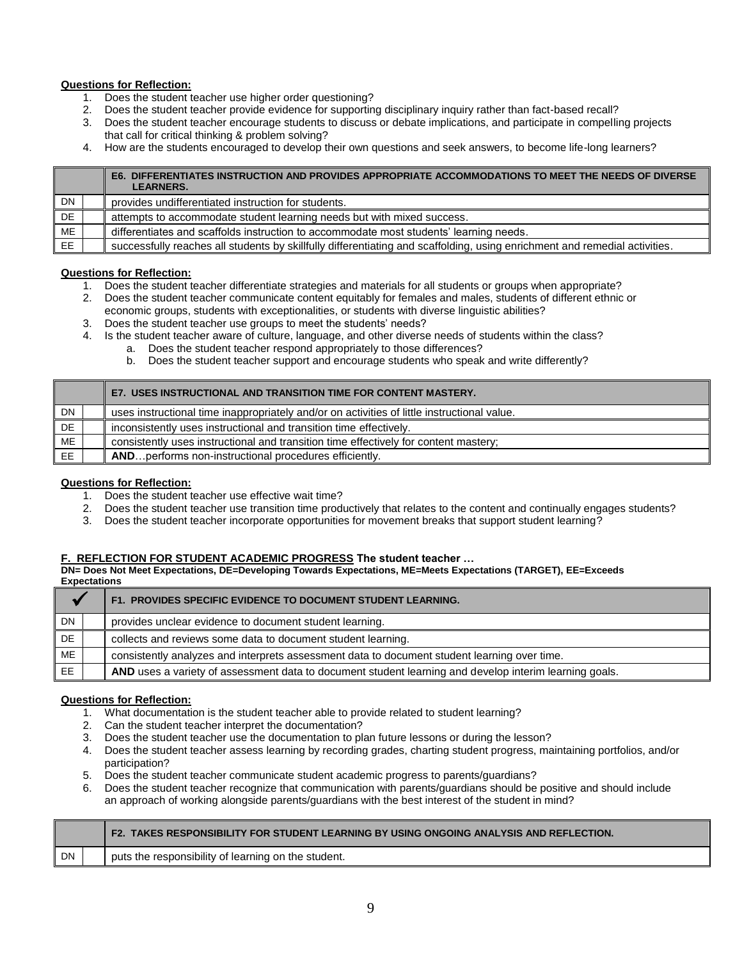- 1. Does the student teacher use higher order questioning?
- 2. Does the student teacher provide evidence for supporting disciplinary inquiry rather than fact-based recall?
- 3. Does the student teacher encourage students to discuss or debate implications, and participate in compelling projects that call for critical thinking & problem solving?
- 4. How are the students encouraged to develop their own questions and seek answers, to become life-long learners?

|           | E6. DIFFERENTIATES INSTRUCTION AND PROVIDES APPROPRIATE ACCOMMODATIONS TO MEET THE NEEDS OF DIVERSE<br><b>LEARNERS.</b>    |
|-----------|----------------------------------------------------------------------------------------------------------------------------|
| DN        | provides undifferentiated instruction for students.                                                                        |
| DE        | attempts to accommodate student learning needs but with mixed success.                                                     |
| ME        | differentiates and scaffolds instruction to accommodate most students' learning needs.                                     |
| <b>EE</b> | successfully reaches all students by skillfully differentiating and scaffolding, using enrichment and remedial activities. |

#### **Questions for Reflection:**

- 1. Does the student teacher differentiate strategies and materials for all students or groups when appropriate?
- 2. Does the student teacher communicate content equitably for females and males, students of different ethnic or economic groups, students with exceptionalities, or students with diverse linguistic abilities?
- 3. Does the student teacher use groups to meet the students' needs?
- 4. Is the student teacher aware of culture, language, and other diverse needs of students within the class?
	- a. Does the student teacher respond appropriately to those differences?
		- b. Does the student teacher support and encourage students who speak and write differently?

|     |  | E7. USES INSTRUCTIONAL AND TRANSITION TIME FOR CONTENT MASTERY.                             |
|-----|--|---------------------------------------------------------------------------------------------|
| DN  |  | uses instructional time inappropriately and/or on activities of little instructional value. |
| DE. |  | inconsistently uses instructional and transition time effectively.                          |
| ME  |  | consistently uses instructional and transition time effectively for content mastery;        |
| EE  |  | AND performs non-instructional procedures efficiently.                                      |

#### **Questions for Reflection:**

- 1. Does the student teacher use effective wait time?
- 2. Does the student teacher use transition time productively that relates to the content and continually engages students?
- 3. Does the student teacher incorporate opportunities for movement breaks that support student learning?

#### **F. REFLECTION FOR STUDENT ACADEMIC PROGRESS The student teacher …**

**DN= Does Not Meet Expectations, DE=Developing Towards Expectations, ME=Meets Expectations (TARGET), EE=Exceeds Expectations**

|    |  | F1. PROVIDES SPECIFIC EVIDENCE TO DOCUMENT STUDENT LEARNING.                                           |  |  |  |
|----|--|--------------------------------------------------------------------------------------------------------|--|--|--|
| DN |  | provides unclear evidence to document student learning.                                                |  |  |  |
| DE |  | collects and reviews some data to document student learning.                                           |  |  |  |
| ME |  | consistently analyzes and interprets assessment data to document student learning over time.           |  |  |  |
| EE |  | AND uses a variety of assessment data to document student learning and develop interim learning goals. |  |  |  |

- 1. What documentation is the student teacher able to provide related to student learning?
- 2. Can the student teacher interpret the documentation?
- 3. Does the student teacher use the documentation to plan future lessons or during the lesson?
- 4. Does the student teacher assess learning by recording grades, charting student progress, maintaining portfolios, and/or participation?
- 5. Does the student teacher communicate student academic progress to parents/guardians?
- 6. Does the student teacher recognize that communication with parents/guardians should be positive and should include an approach of working alongside parents/guardians with the best interest of the student in mind?

|    |  | F2. TAKES RESPONSIBILITY FOR STUDENT LEARNING BY USING ONGOING ANALYSIS AND REFLECTION. |  |  |  |
|----|--|-----------------------------------------------------------------------------------------|--|--|--|
| DN |  | puts the responsibility of learning on the student.                                     |  |  |  |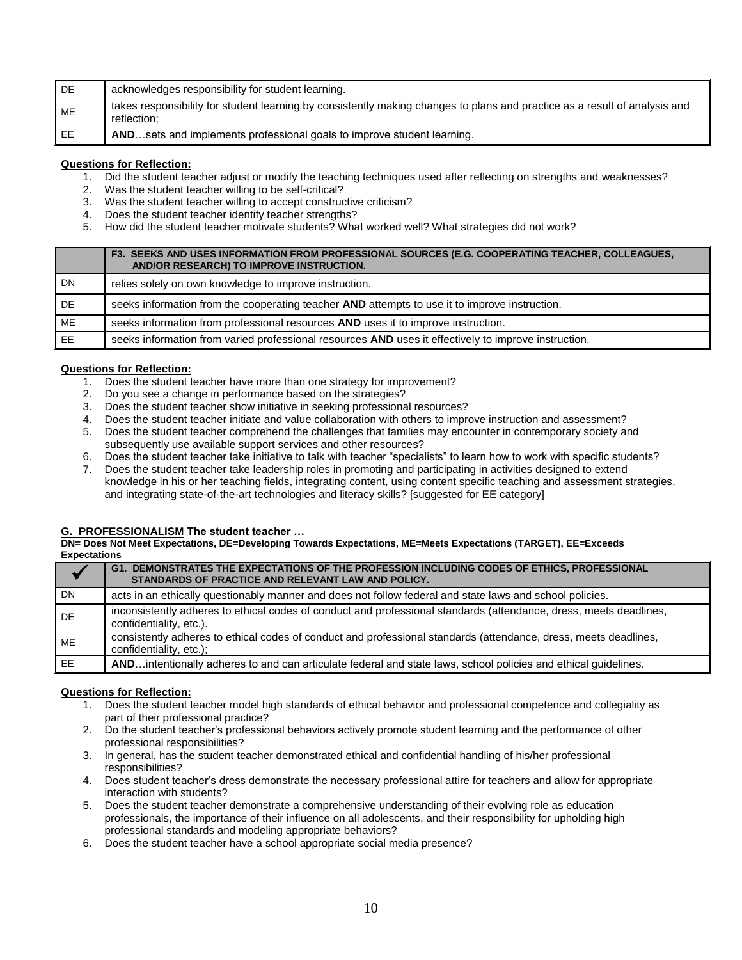| DE | acknowledges responsibility for student learning.                                                                                         |  |
|----|-------------------------------------------------------------------------------------------------------------------------------------------|--|
| ME | takes responsibility for student learning by consistently making changes to plans and practice as a result of analysis and<br>reflection: |  |
| EE | ANDsets and implements professional goals to improve student learning.                                                                    |  |

- 1. Did the student teacher adjust or modify the teaching techniques used after reflecting on strengths and weaknesses?
- 2. Was the student teacher willing to be self-critical?
- 3. Was the student teacher willing to accept constructive criticism?
- 4. Does the student teacher identify teacher strengths?
- 5. How did the student teacher motivate students? What worked well? What strategies did not work?

|           |  | F3. SEEKS AND USES INFORMATION FROM PROFESSIONAL SOURCES (E.G. COOPERATING TEACHER, COLLEAGUES,<br>AND/OR RESEARCH) TO IMPROVE INSTRUCTION. |
|-----------|--|---------------------------------------------------------------------------------------------------------------------------------------------|
| DN        |  | relies solely on own knowledge to improve instruction.                                                                                      |
| DE.       |  | seeks information from the cooperating teacher AND attempts to use it to improve instruction.                                               |
| ME        |  | seeks information from professional resources AND uses it to improve instruction.                                                           |
| <b>EE</b> |  | seeks information from varied professional resources AND uses it effectively to improve instruction.                                        |

#### **Questions for Reflection:**

- 1. Does the student teacher have more than one strategy for improvement?
- 2. Do you see a change in performance based on the strategies?
- 3. Does the student teacher show initiative in seeking professional resources?
- 4. Does the student teacher initiate and value collaboration with others to improve instruction and assessment?
- 5. Does the student teacher comprehend the challenges that families may encounter in contemporary society and subsequently use available support services and other resources?
- 6. Does the student teacher take initiative to talk with teacher "specialists" to learn how to work with specific students?
- 7. Does the student teacher take leadership roles in promoting and participating in activities designed to extend knowledge in his or her teaching fields, integrating content, using content specific teaching and assessment strategies, and integrating state-of-the-art technologies and literacy skills? [suggested for EE category]

### **G. PROFESSIONALISM The student teacher …**

**DN= Does Not Meet Expectations, DE=Developing Towards Expectations, ME=Meets Expectations (TARGET), EE=Exceeds Expectations**

|           |  | G1. DEMONSTRATES THE EXPECTATIONS OF THE PROFESSION INCLUDING CODES OF ETHICS, PROFESSIONAL<br>STANDARDS OF PRACTICE AND RELEVANT LAW AND POLICY. |
|-----------|--|---------------------------------------------------------------------------------------------------------------------------------------------------|
| <b>DN</b> |  | acts in an ethically questionably manner and does not follow federal and state laws and school policies.                                          |
| DE        |  | inconsistently adheres to ethical codes of conduct and professional standards (attendance, dress, meets deadlines,<br>confidentiality, etc.).     |
| ME        |  | consistently adheres to ethical codes of conduct and professional standards (attendance, dress, meets deadlines,<br>confidentiality, etc.);       |
| EE        |  | ANDintentionally adheres to and can articulate federal and state laws, school policies and ethical guidelines.                                    |

- 1. Does the student teacher model high standards of ethical behavior and professional competence and collegiality as part of their professional practice?
- 2. Do the student teacher's professional behaviors actively promote student learning and the performance of other professional responsibilities?
- 3. In general, has the student teacher demonstrated ethical and confidential handling of his/her professional responsibilities?
- 4. Does student teacher's dress demonstrate the necessary professional attire for teachers and allow for appropriate interaction with students?
- 5. Does the student teacher demonstrate a comprehensive understanding of their evolving role as education professionals, the importance of their influence on all adolescents, and their responsibility for upholding high professional standards and modeling appropriate behaviors?
- 6. Does the student teacher have a school appropriate social media presence?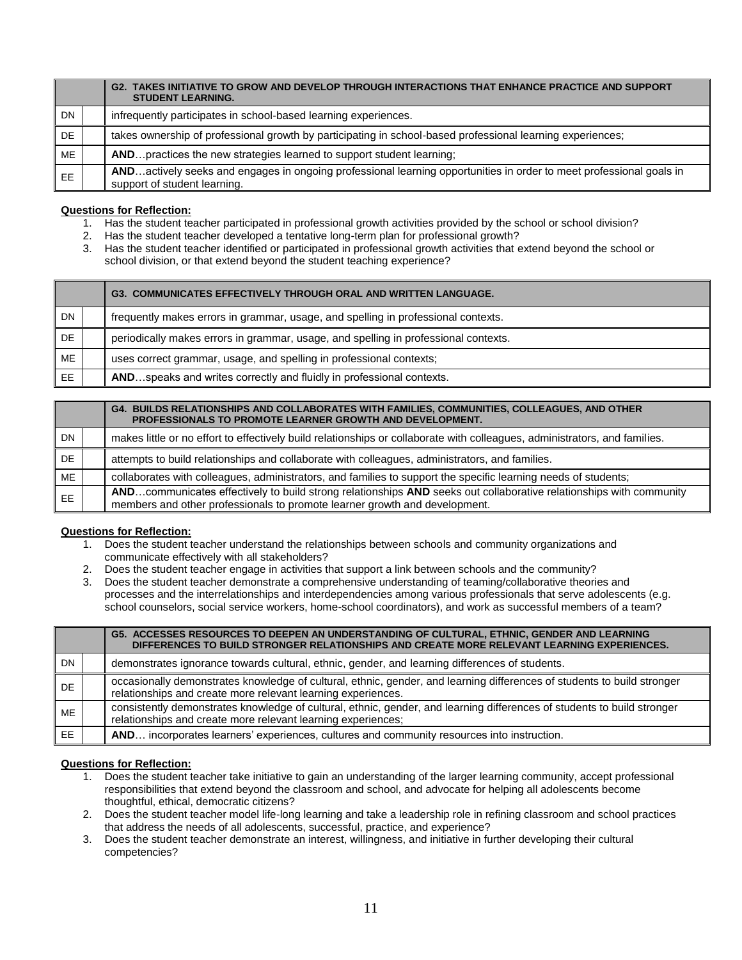|     |  | G2. TAKES INITIATIVE TO GROW AND DEVELOP THROUGH INTERACTIONS THAT ENHANCE PRACTICE AND SUPPORT<br><b>STUDENT LEARNING.</b>                         |  |  |  |
|-----|--|-----------------------------------------------------------------------------------------------------------------------------------------------------|--|--|--|
| DN. |  | infrequently participates in school-based learning experiences.                                                                                     |  |  |  |
| DE  |  | takes ownership of professional growth by participating in school-based professional learning experiences;                                          |  |  |  |
| ME  |  | AND practices the new strategies learned to support student learning;                                                                               |  |  |  |
| EE. |  | ANDactively seeks and engages in ongoing professional learning opportunities in order to meet professional goals in<br>support of student learning. |  |  |  |

- 1. Has the student teacher participated in professional growth activities provided by the school or school division?
- 2. Has the student teacher developed a tentative long-term plan for professional growth?
- 3. Has the student teacher identified or participated in professional growth activities that extend beyond the school or school division, or that extend beyond the student teaching experience?

|           |  | G3. COMMUNICATES EFFECTIVELY THROUGH ORAL AND WRITTEN LANGUAGE.                     |
|-----------|--|-------------------------------------------------------------------------------------|
| DN        |  | frequently makes errors in grammar, usage, and spelling in professional contexts.   |
| <b>DE</b> |  | periodically makes errors in grammar, usage, and spelling in professional contexts. |
| ME        |  | uses correct grammar, usage, and spelling in professional contexts;                 |
| EE.       |  | ANDspeaks and writes correctly and fluidly in professional contexts.                |

|           |  | G4. BUILDS RELATIONSHIPS AND COLLABORATES WITH FAMILIES, COMMUNITIES, COLLEAGUES, AND OTHER<br>PROFESSIONALS TO PROMOTE LEARNER GROWTH AND DEVELOPMENT.                                          |  |
|-----------|--|--------------------------------------------------------------------------------------------------------------------------------------------------------------------------------------------------|--|
| <b>DN</b> |  | makes little or no effort to effectively build relationships or collaborate with colleagues, administrators, and families.                                                                       |  |
| DE.       |  | attempts to build relationships and collaborate with colleagues, administrators, and families.                                                                                                   |  |
| ME        |  | collaborates with colleagues, administrators, and families to support the specific learning needs of students;                                                                                   |  |
| EE.       |  | ANDcommunicates effectively to build strong relationships AND seeks out collaborative relationships with community<br>members and other professionals to promote learner growth and development. |  |

### **Questions for Reflection:**

- 1. Does the student teacher understand the relationships between schools and community organizations and communicate effectively with all stakeholders?
- 2. Does the student teacher engage in activities that support a link between schools and the community?
- 3. Does the student teacher demonstrate a comprehensive understanding of teaming/collaborative theories and processes and the interrelationships and interdependencies among various professionals that serve adolescents (e.g. school counselors, social service workers, home-school coordinators), and work as successful members of a team?

|           | G5. ACCESSES RESOURCES TO DEEPEN AN UNDERSTANDING OF CULTURAL, ETHNIC, GENDER AND LEARNING<br>DIFFERENCES TO BUILD STRONGER RELATIONSHIPS AND CREATE MORE RELEVANT LEARNING EXPERIENCES. |  |  |  |
|-----------|------------------------------------------------------------------------------------------------------------------------------------------------------------------------------------------|--|--|--|
| <b>DN</b> | demonstrates ignorance towards cultural, ethnic, gender, and learning differences of students.                                                                                           |  |  |  |
| DE        | occasionally demonstrates knowledge of cultural, ethnic, gender, and learning differences of students to build stronger<br>relationships and create more relevant learning experiences.  |  |  |  |
| <b>ME</b> | consistently demonstrates knowledge of cultural, ethnic, gender, and learning differences of students to build stronger<br>relationships and create more relevant learning experiences;  |  |  |  |
| EE        | AND incorporates learners' experiences, cultures and community resources into instruction.                                                                                               |  |  |  |

- 1. Does the student teacher take initiative to gain an understanding of the larger learning community, accept professional responsibilities that extend beyond the classroom and school, and advocate for helping all adolescents become thoughtful, ethical, democratic citizens?
- 2. Does the student teacher model life-long learning and take a leadership role in refining classroom and school practices that address the needs of all adolescents, successful, practice, and experience?
- 3. Does the student teacher demonstrate an interest, willingness, and initiative in further developing their cultural competencies?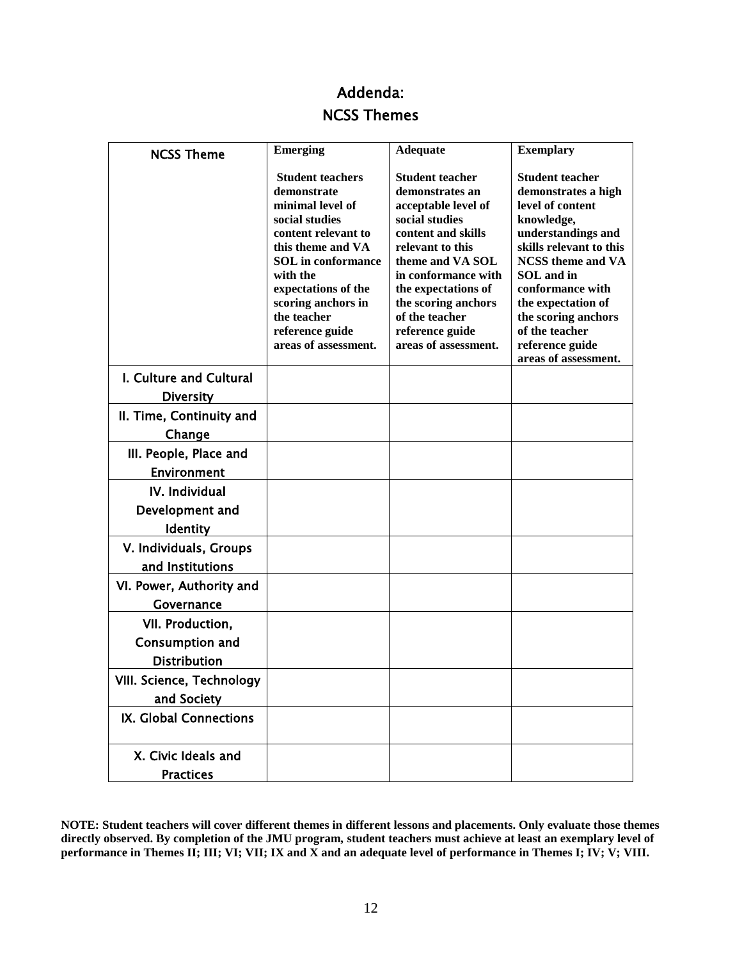## Addenda: NCSS Themes

| <b>NCSS Theme</b>                           | <b>Emerging</b>                                                                                                                                                                                                                                                          | <b>Adequate</b>                                                                                                                                                                                                                                                                    | <b>Exemplary</b>                                                                                                                                                                                                                                                                                         |
|---------------------------------------------|--------------------------------------------------------------------------------------------------------------------------------------------------------------------------------------------------------------------------------------------------------------------------|------------------------------------------------------------------------------------------------------------------------------------------------------------------------------------------------------------------------------------------------------------------------------------|----------------------------------------------------------------------------------------------------------------------------------------------------------------------------------------------------------------------------------------------------------------------------------------------------------|
|                                             | <b>Student teachers</b><br>demonstrate<br>minimal level of<br>social studies<br>content relevant to<br>this theme and VA<br><b>SOL</b> in conformance<br>with the<br>expectations of the<br>scoring anchors in<br>the teacher<br>reference guide<br>areas of assessment. | <b>Student teacher</b><br>demonstrates an<br>acceptable level of<br>social studies<br>content and skills<br>relevant to this<br>theme and VA SOL<br>in conformance with<br>the expectations of<br>the scoring anchors<br>of the teacher<br>reference guide<br>areas of assessment. | <b>Student teacher</b><br>demonstrates a high<br>level of content<br>knowledge,<br>understandings and<br>skills relevant to this<br><b>NCSS</b> theme and VA<br>SOL and in<br>conformance with<br>the expectation of<br>the scoring anchors<br>of the teacher<br>reference guide<br>areas of assessment. |
| I. Culture and Cultural<br><b>Diversity</b> |                                                                                                                                                                                                                                                                          |                                                                                                                                                                                                                                                                                    |                                                                                                                                                                                                                                                                                                          |
| II. Time, Continuity and                    |                                                                                                                                                                                                                                                                          |                                                                                                                                                                                                                                                                                    |                                                                                                                                                                                                                                                                                                          |
| Change                                      |                                                                                                                                                                                                                                                                          |                                                                                                                                                                                                                                                                                    |                                                                                                                                                                                                                                                                                                          |
| III. People, Place and                      |                                                                                                                                                                                                                                                                          |                                                                                                                                                                                                                                                                                    |                                                                                                                                                                                                                                                                                                          |
| <b>Environment</b>                          |                                                                                                                                                                                                                                                                          |                                                                                                                                                                                                                                                                                    |                                                                                                                                                                                                                                                                                                          |
| IV. Individual                              |                                                                                                                                                                                                                                                                          |                                                                                                                                                                                                                                                                                    |                                                                                                                                                                                                                                                                                                          |
| Development and                             |                                                                                                                                                                                                                                                                          |                                                                                                                                                                                                                                                                                    |                                                                                                                                                                                                                                                                                                          |
| <b>Identity</b>                             |                                                                                                                                                                                                                                                                          |                                                                                                                                                                                                                                                                                    |                                                                                                                                                                                                                                                                                                          |
| V. Individuals, Groups                      |                                                                                                                                                                                                                                                                          |                                                                                                                                                                                                                                                                                    |                                                                                                                                                                                                                                                                                                          |
| and Institutions                            |                                                                                                                                                                                                                                                                          |                                                                                                                                                                                                                                                                                    |                                                                                                                                                                                                                                                                                                          |
| VI. Power, Authority and                    |                                                                                                                                                                                                                                                                          |                                                                                                                                                                                                                                                                                    |                                                                                                                                                                                                                                                                                                          |
| Governance                                  |                                                                                                                                                                                                                                                                          |                                                                                                                                                                                                                                                                                    |                                                                                                                                                                                                                                                                                                          |
| VII. Production,                            |                                                                                                                                                                                                                                                                          |                                                                                                                                                                                                                                                                                    |                                                                                                                                                                                                                                                                                                          |
| Consumption and                             |                                                                                                                                                                                                                                                                          |                                                                                                                                                                                                                                                                                    |                                                                                                                                                                                                                                                                                                          |
| <b>Distribution</b>                         |                                                                                                                                                                                                                                                                          |                                                                                                                                                                                                                                                                                    |                                                                                                                                                                                                                                                                                                          |
| VIII. Science, Technology                   |                                                                                                                                                                                                                                                                          |                                                                                                                                                                                                                                                                                    |                                                                                                                                                                                                                                                                                                          |
| and Society                                 |                                                                                                                                                                                                                                                                          |                                                                                                                                                                                                                                                                                    |                                                                                                                                                                                                                                                                                                          |
| IX. Global Connections                      |                                                                                                                                                                                                                                                                          |                                                                                                                                                                                                                                                                                    |                                                                                                                                                                                                                                                                                                          |
| X. Civic Ideals and                         |                                                                                                                                                                                                                                                                          |                                                                                                                                                                                                                                                                                    |                                                                                                                                                                                                                                                                                                          |
| <b>Practices</b>                            |                                                                                                                                                                                                                                                                          |                                                                                                                                                                                                                                                                                    |                                                                                                                                                                                                                                                                                                          |

**NOTE: Student teachers will cover different themes in different lessons and placements. Only evaluate those themes directly observed. By completion of the JMU program, student teachers must achieve at least an exemplary level of performance in Themes II; III; VI; VII; IX and X and an adequate level of performance in Themes I; IV; V; VIII.**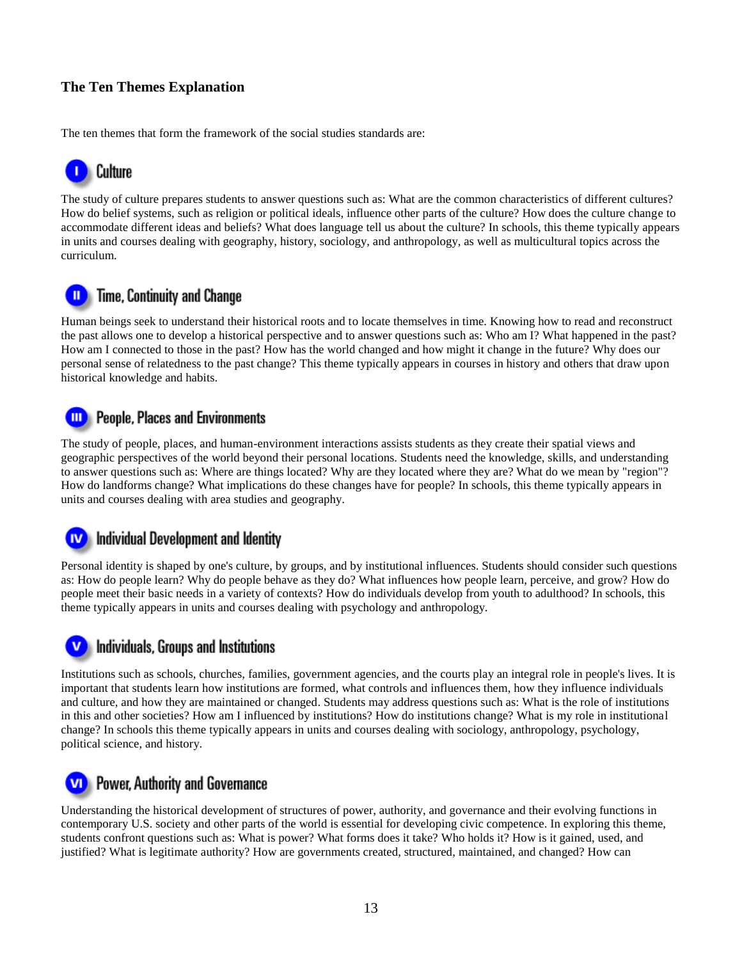### **The Ten Themes Explanation**

The ten themes that form the framework of the social studies standards are:



The study of culture prepares students to answer questions such as: What are the common characteristics of different cultures? How do belief systems, such as religion or political ideals, influence other parts of the culture? How does the culture change to accommodate different ideas and beliefs? What does language tell us about the culture? In schools, this theme typically appears in units and courses dealing with geography, history, sociology, and anthropology, as well as multicultural topics across the curriculum.

## Time, Continuity and Change

Human beings seek to understand their historical roots and to locate themselves in time. Knowing how to read and reconstruct the past allows one to develop a historical perspective and to answer questions such as: Who am I? What happened in the past? How am I connected to those in the past? How has the world changed and how might it change in the future? Why does our personal sense of relatedness to the past change? This theme typically appears in courses in history and others that draw upon historical knowledge and habits.

#### **People, Places and Environments** Ш

The study of people, places, and human-environment interactions assists students as they create their spatial views and geographic perspectives of the world beyond their personal locations. Students need the knowledge, skills, and understanding to answer questions such as: Where are things located? Why are they located where they are? What do we mean by "region"? How do landforms change? What implications do these changes have for people? In schools, this theme typically appears in units and courses dealing with area studies and geography.

#### **IV** Individual Development and Identity |

Personal identity is shaped by one's culture, by groups, and by institutional influences. Students should consider such questions as: How do people learn? Why do people behave as they do? What influences how people learn, perceive, and grow? How do people meet their basic needs in a variety of contexts? How do individuals develop from youth to adulthood? In schools, this theme typically appears in units and courses dealing with psychology and anthropology.

### Individuals, Groups and Institutions

Institutions such as schools, churches, families, government agencies, and the courts play an integral role in people's lives. It is important that students learn how institutions are formed, what controls and influences them, how they influence individuals and culture, and how they are maintained or changed. Students may address questions such as: What is the role of institutions in this and other societies? How am I influenced by institutions? How do institutions change? What is my role in institutional change? In schools this theme typically appears in units and courses dealing with sociology, anthropology, psychology, political science, and history.

## **VD** Power, Authority and Governance

Understanding the historical development of structures of power, authority, and governance and their evolving functions in contemporary U.S. society and other parts of the world is essential for developing civic competence. In exploring this theme, students confront questions such as: What is power? What forms does it take? Who holds it? How is it gained, used, and justified? What is legitimate authority? How are governments created, structured, maintained, and changed? How can